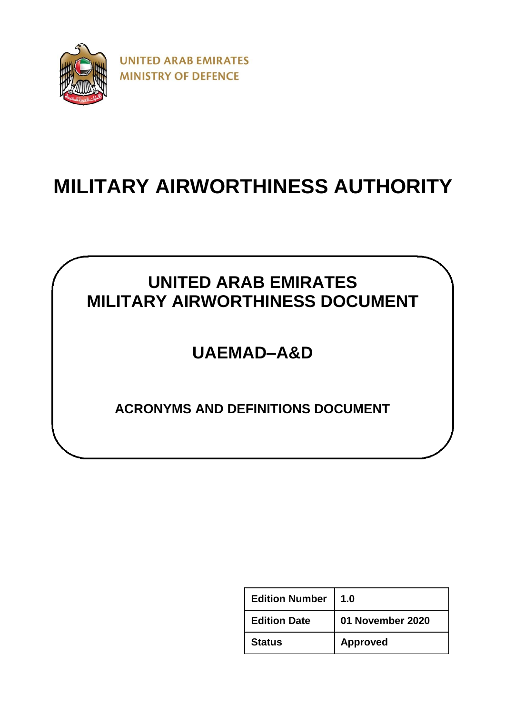

# **MILITARY AIRWORTHINESS AUTHORITY**

# **UNITED ARAB EMIRATES MILITARY AIRWORTHINESS DOCUMENT**

# **UAEMAD–A&D**

**ACRONYMS AND DEFINITIONS DOCUMENT**

| <b>Edition Number</b> | 1.0              |
|-----------------------|------------------|
| <b>Edition Date</b>   | 01 November 2020 |
| <b>Status</b>         | <b>Approved</b>  |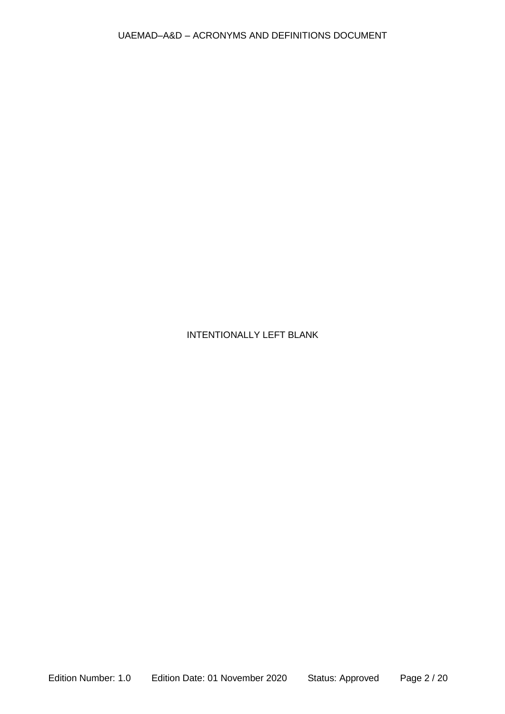#### INTENTIONALLY LEFT BLANK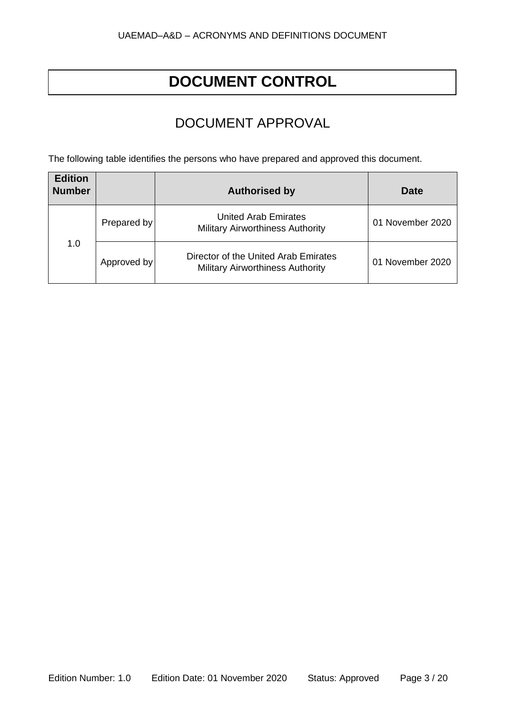### **DOCUMENT CONTROL**

### DOCUMENT APPROVAL

The following table identifies the persons who have prepared and approved this document.

| <b>Edition</b><br><b>Number</b> |             | <b>Authorised by</b>                                                            | <b>Date</b>      |
|---------------------------------|-------------|---------------------------------------------------------------------------------|------------------|
|                                 | Prepared by | United Arab Emirates<br><b>Military Airworthiness Authority</b>                 | 01 November 2020 |
| 1.0                             | Approved by | Director of the United Arab Emirates<br><b>Military Airworthiness Authority</b> | 01 November 2020 |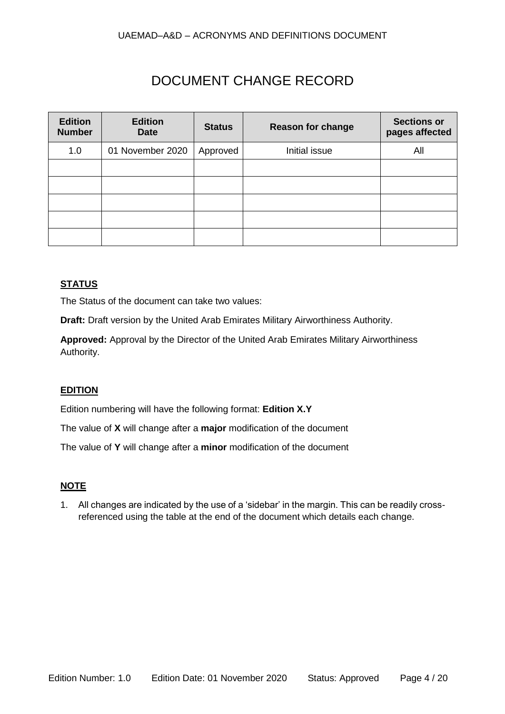### DOCUMENT CHANGE RECORD

| <b>Edition</b><br><b>Number</b> | <b>Edition</b><br><b>Date</b> | <b>Status</b> | <b>Reason for change</b> | <b>Sections or</b><br>pages affected |
|---------------------------------|-------------------------------|---------------|--------------------------|--------------------------------------|
| 1.0                             | 01 November 2020              | Approved      | Initial issue            | All                                  |
|                                 |                               |               |                          |                                      |
|                                 |                               |               |                          |                                      |
|                                 |                               |               |                          |                                      |
|                                 |                               |               |                          |                                      |
|                                 |                               |               |                          |                                      |

#### **STATUS**

The Status of the document can take two values:

**Draft:** Draft version by the United Arab Emirates Military Airworthiness Authority.

**Approved:** Approval by the Director of the United Arab Emirates Military Airworthiness Authority.

#### **EDITION**

Edition numbering will have the following format: **Edition X.Y**

The value of **X** will change after a **major** modification of the document

The value of **Y** will change after a **minor** modification of the document

#### **NOTE**

1. All changes are indicated by the use of a 'sidebar' in the margin. This can be readily crossreferenced using the table at the end of the document which details each change.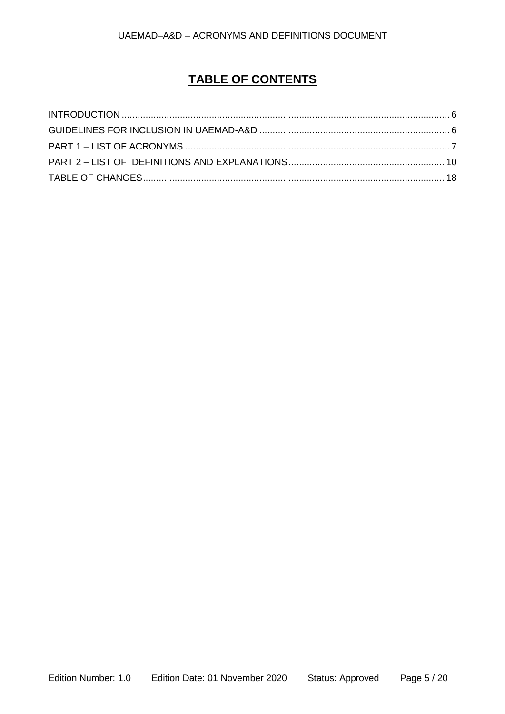### **TABLE OF CONTENTS**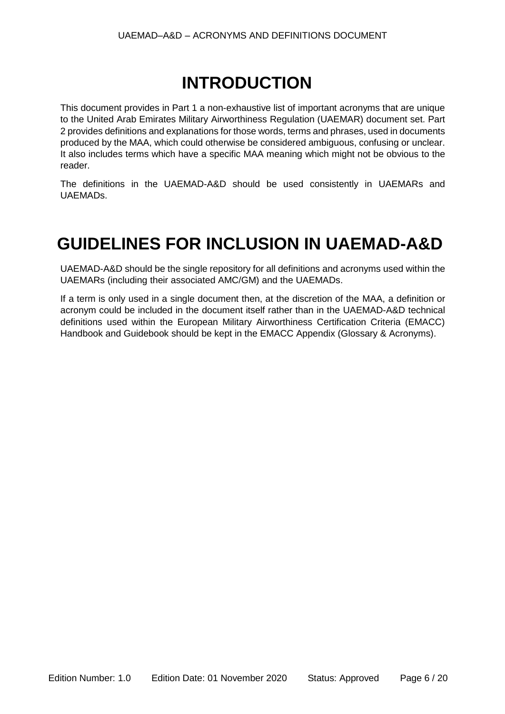### **INTRODUCTION**

<span id="page-5-0"></span>This document provides in Part 1 a non-exhaustive list of important acronyms that are unique to the United Arab Emirates Military Airworthiness Regulation (UAEMAR) document set. Part 2 provides definitions and explanations for those words, terms and phrases, used in documents produced by the MAA, which could otherwise be considered ambiguous, confusing or unclear. It also includes terms which have a specific MAA meaning which might not be obvious to the reader.

The definitions in the UAEMAD-A&D should be used consistently in UAEMARs and UAEMADs.

### <span id="page-5-1"></span>**GUIDELINES FOR INCLUSION IN UAEMAD-A&D**

UAEMAD-A&D should be the single repository for all definitions and acronyms used within the UAEMARs (including their associated AMC/GM) and the UAEMADs.

If a term is only used in a single document then, at the discretion of the MAA, a definition or acronym could be included in the document itself rather than in the UAEMAD-A&D technical definitions used within the European Military Airworthiness Certification Criteria (EMACC) Handbook and Guidebook should be kept in the EMACC Appendix (Glossary & Acronyms).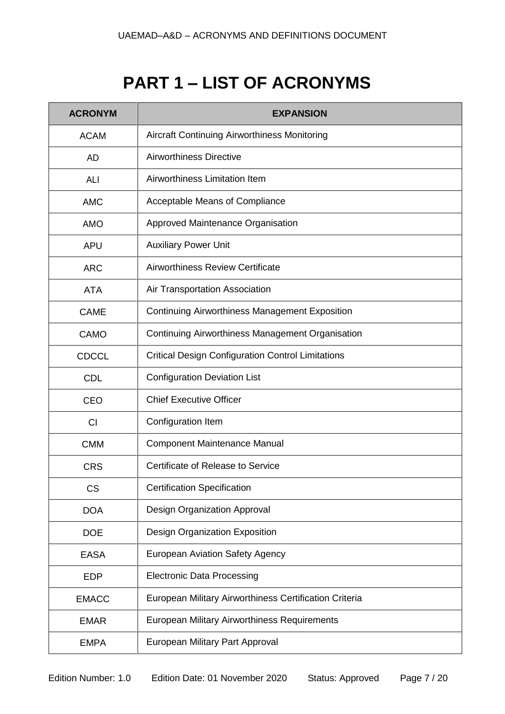# **PART 1 – LIST OF ACRONYMS**

<span id="page-6-0"></span>

| <b>ACRONYM</b> | <b>EXPANSION</b>                                         |
|----------------|----------------------------------------------------------|
| <b>ACAM</b>    | Aircraft Continuing Airworthiness Monitoring             |
| <b>AD</b>      | <b>Airworthiness Directive</b>                           |
| ALI            | Airworthiness Limitation Item                            |
| <b>AMC</b>     | Acceptable Means of Compliance                           |
| <b>AMO</b>     | Approved Maintenance Organisation                        |
| <b>APU</b>     | <b>Auxiliary Power Unit</b>                              |
| <b>ARC</b>     | <b>Airworthiness Review Certificate</b>                  |
| <b>ATA</b>     | Air Transportation Association                           |
| <b>CAME</b>    | <b>Continuing Airworthiness Management Exposition</b>    |
| CAMO           | <b>Continuing Airworthiness Management Organisation</b>  |
| <b>CDCCL</b>   | <b>Critical Design Configuration Control Limitations</b> |
| <b>CDL</b>     | <b>Configuration Deviation List</b>                      |
| <b>CEO</b>     | <b>Chief Executive Officer</b>                           |
| <b>CI</b>      | Configuration Item                                       |
| <b>CMM</b>     | <b>Component Maintenance Manual</b>                      |
| <b>CRS</b>     | Certificate of Release to Service                        |
| <b>CS</b>      | <b>Certification Specification</b>                       |
| <b>DOA</b>     | Design Organization Approval                             |
| <b>DOE</b>     | Design Organization Exposition                           |
| <b>EASA</b>    | <b>European Aviation Safety Agency</b>                   |
| <b>EDP</b>     | <b>Electronic Data Processing</b>                        |
| <b>EMACC</b>   | European Military Airworthiness Certification Criteria   |
| <b>EMAR</b>    | European Military Airworthiness Requirements             |
| <b>EMPA</b>    | European Military Part Approval                          |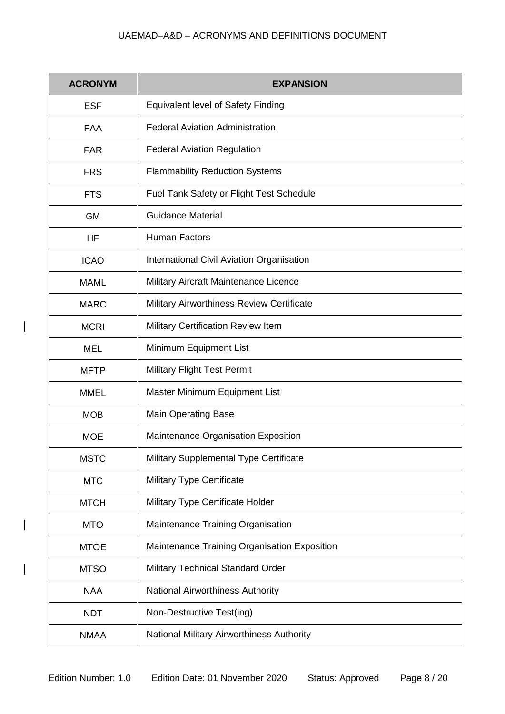| <b>ACRONYM</b> | <b>EXPANSION</b>                                 |
|----------------|--------------------------------------------------|
| <b>ESF</b>     | <b>Equivalent level of Safety Finding</b>        |
| <b>FAA</b>     | <b>Federal Aviation Administration</b>           |
| <b>FAR</b>     | <b>Federal Aviation Regulation</b>               |
| <b>FRS</b>     | <b>Flammability Reduction Systems</b>            |
| <b>FTS</b>     | <b>Fuel Tank Safety or Flight Test Schedule</b>  |
| <b>GM</b>      | <b>Guidance Material</b>                         |
| HF             | <b>Human Factors</b>                             |
| <b>ICAO</b>    | International Civil Aviation Organisation        |
| <b>MAML</b>    | Military Aircraft Maintenance Licence            |
| <b>MARC</b>    | <b>Military Airworthiness Review Certificate</b> |
| <b>MCRI</b>    | <b>Military Certification Review Item</b>        |
| <b>MEL</b>     | Minimum Equipment List                           |
| <b>MFTP</b>    | <b>Military Flight Test Permit</b>               |
| <b>MMEL</b>    | Master Minimum Equipment List                    |
| <b>MOB</b>     | <b>Main Operating Base</b>                       |
| <b>MOE</b>     | Maintenance Organisation Exposition              |
| <b>MSTC</b>    | Military Supplemental Type Certificate           |
| <b>MTC</b>     | <b>Military Type Certificate</b>                 |
| <b>MTCH</b>    | Military Type Certificate Holder                 |
| <b>MTO</b>     | Maintenance Training Organisation                |
| <b>MTOE</b>    | Maintenance Training Organisation Exposition     |
| <b>MTSO</b>    | Military Technical Standard Order                |
| <b>NAA</b>     | <b>National Airworthiness Authority</b>          |
| <b>NDT</b>     | Non-Destructive Test(ing)                        |
| <b>NMAA</b>    | National Military Airworthiness Authority        |

 $\overline{\phantom{a}}$ 

 $\overline{\phantom{a}}$ 

 $\overline{\phantom{a}}$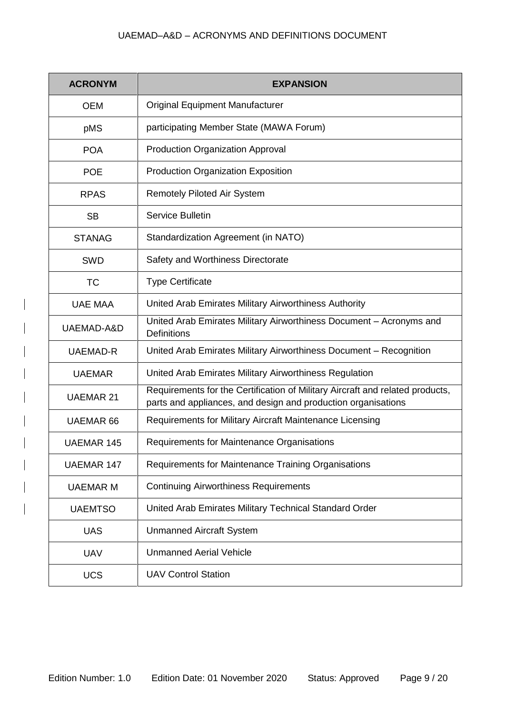<span id="page-8-0"></span>

| <b>ACRONYM</b>    | <b>EXPANSION</b>                                                                                                                               |
|-------------------|------------------------------------------------------------------------------------------------------------------------------------------------|
| <b>OEM</b>        | <b>Original Equipment Manufacturer</b>                                                                                                         |
| pMS               | participating Member State (MAWA Forum)                                                                                                        |
| <b>POA</b>        | <b>Production Organization Approval</b>                                                                                                        |
| <b>POE</b>        | <b>Production Organization Exposition</b>                                                                                                      |
| <b>RPAS</b>       | <b>Remotely Piloted Air System</b>                                                                                                             |
| <b>SB</b>         | Service Bulletin                                                                                                                               |
| <b>STANAG</b>     | Standardization Agreement (in NATO)                                                                                                            |
| <b>SWD</b>        | Safety and Worthiness Directorate                                                                                                              |
| <b>TC</b>         | <b>Type Certificate</b>                                                                                                                        |
| <b>UAE MAA</b>    | United Arab Emirates Military Airworthiness Authority                                                                                          |
| UAEMAD-A&D        | United Arab Emirates Military Airworthiness Document - Acronyms and<br><b>Definitions</b>                                                      |
| <b>UAEMAD-R</b>   | United Arab Emirates Military Airworthiness Document - Recognition                                                                             |
| <b>UAEMAR</b>     | United Arab Emirates Military Airworthiness Regulation                                                                                         |
| <b>UAEMAR 21</b>  | Requirements for the Certification of Military Aircraft and related products,<br>parts and appliances, and design and production organisations |
| <b>UAEMAR 66</b>  | Requirements for Military Aircraft Maintenance Licensing                                                                                       |
| <b>UAEMAR 145</b> | Requirements for Maintenance Organisations                                                                                                     |
| <b>UAEMAR 147</b> | Requirements for Maintenance Training Organisations                                                                                            |
| <b>UAEMAR M</b>   | <b>Continuing Airworthiness Requirements</b>                                                                                                   |
| <b>UAEMTSO</b>    | United Arab Emirates Military Technical Standard Order                                                                                         |
| <b>UAS</b>        | <b>Unmanned Aircraft System</b>                                                                                                                |
| <b>UAV</b>        | <b>Unmanned Aerial Vehicle</b>                                                                                                                 |
| <b>UCS</b>        | <b>UAV Control Station</b>                                                                                                                     |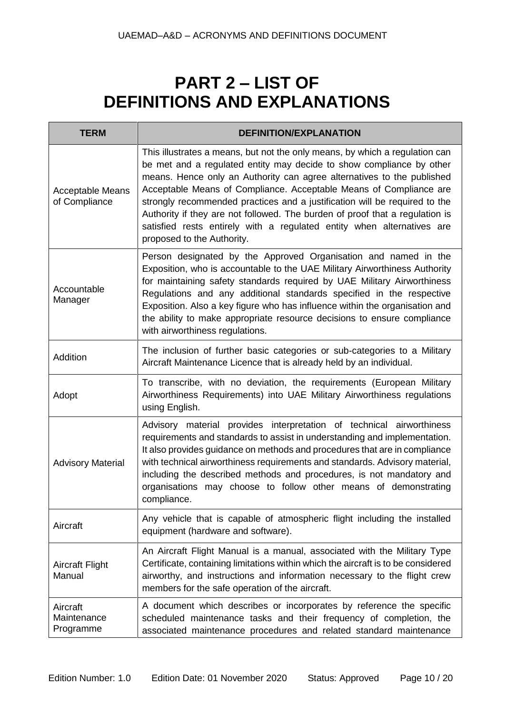# **PART 2 – LIST OF DEFINITIONS AND EXPLANATIONS**

| <b>TERM</b>                              | <b>DEFINITION/EXPLANATION</b>                                                                                                                                                                                                                                                                                                                                                                                                                                                                                                                                             |
|------------------------------------------|---------------------------------------------------------------------------------------------------------------------------------------------------------------------------------------------------------------------------------------------------------------------------------------------------------------------------------------------------------------------------------------------------------------------------------------------------------------------------------------------------------------------------------------------------------------------------|
| <b>Acceptable Means</b><br>of Compliance | This illustrates a means, but not the only means, by which a regulation can<br>be met and a regulated entity may decide to show compliance by other<br>means. Hence only an Authority can agree alternatives to the published<br>Acceptable Means of Compliance. Acceptable Means of Compliance are<br>strongly recommended practices and a justification will be required to the<br>Authority if they are not followed. The burden of proof that a regulation is<br>satisfied rests entirely with a regulated entity when alternatives are<br>proposed to the Authority. |
| Accountable<br>Manager                   | Person designated by the Approved Organisation and named in the<br>Exposition, who is accountable to the UAE Military Airworthiness Authority<br>for maintaining safety standards required by UAE Military Airworthiness<br>Regulations and any additional standards specified in the respective<br>Exposition. Also a key figure who has influence within the organisation and<br>the ability to make appropriate resource decisions to ensure compliance<br>with airworthiness regulations.                                                                             |
| Addition                                 | The inclusion of further basic categories or sub-categories to a Military<br>Aircraft Maintenance Licence that is already held by an individual.                                                                                                                                                                                                                                                                                                                                                                                                                          |
| Adopt                                    | To transcribe, with no deviation, the requirements (European Military<br>Airworthiness Requirements) into UAE Military Airworthiness regulations<br>using English.                                                                                                                                                                                                                                                                                                                                                                                                        |
| <b>Advisory Material</b>                 | Advisory material provides interpretation of technical airworthiness<br>requirements and standards to assist in understanding and implementation.<br>It also provides guidance on methods and procedures that are in compliance<br>with technical airworthiness requirements and standards. Advisory material,<br>including the described methods and procedures, is not mandatory and<br>organisations may choose to follow other means of demonstrating<br>compliance.                                                                                                  |
| Aircraft                                 | Any vehicle that is capable of atmospheric flight including the installed<br>equipment (hardware and software).                                                                                                                                                                                                                                                                                                                                                                                                                                                           |
| <b>Aircraft Flight</b><br>Manual         | An Aircraft Flight Manual is a manual, associated with the Military Type<br>Certificate, containing limitations within which the aircraft is to be considered<br>airworthy, and instructions and information necessary to the flight crew<br>members for the safe operation of the aircraft.                                                                                                                                                                                                                                                                              |
| Aircraft<br>Maintenance<br>Programme     | A document which describes or incorporates by reference the specific<br>scheduled maintenance tasks and their frequency of completion, the<br>associated maintenance procedures and related standard maintenance                                                                                                                                                                                                                                                                                                                                                          |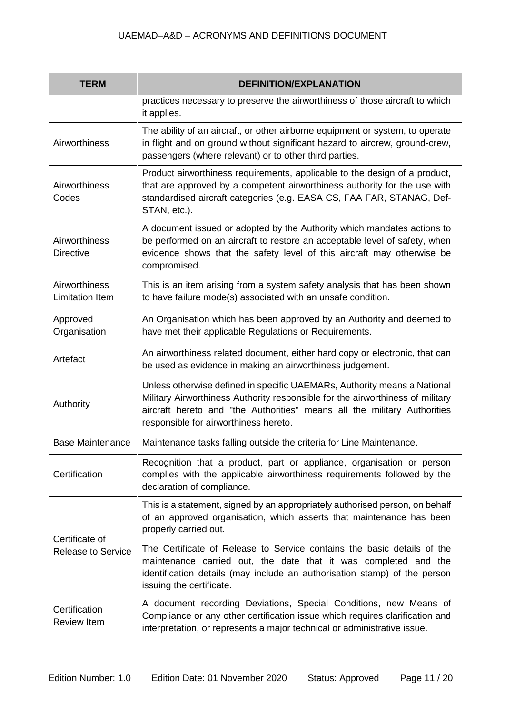| <b>TERM</b>                                 | <b>DEFINITION/EXPLANATION</b>                                                                                                                                                                                                                                                   |
|---------------------------------------------|---------------------------------------------------------------------------------------------------------------------------------------------------------------------------------------------------------------------------------------------------------------------------------|
|                                             | practices necessary to preserve the airworthiness of those aircraft to which<br>it applies.                                                                                                                                                                                     |
| Airworthiness                               | The ability of an aircraft, or other airborne equipment or system, to operate<br>in flight and on ground without significant hazard to aircrew, ground-crew,<br>passengers (where relevant) or to other third parties.                                                          |
| Airworthiness<br>Codes                      | Product airworthiness requirements, applicable to the design of a product,<br>that are approved by a competent airworthiness authority for the use with<br>standardised aircraft categories (e.g. EASA CS, FAA FAR, STANAG, Def-<br>STAN, etc.).                                |
| Airworthiness<br><b>Directive</b>           | A document issued or adopted by the Authority which mandates actions to<br>be performed on an aircraft to restore an acceptable level of safety, when<br>evidence shows that the safety level of this aircraft may otherwise be<br>compromised.                                 |
| Airworthiness<br><b>Limitation Item</b>     | This is an item arising from a system safety analysis that has been shown<br>to have failure mode(s) associated with an unsafe condition.                                                                                                                                       |
| Approved<br>Organisation                    | An Organisation which has been approved by an Authority and deemed to<br>have met their applicable Regulations or Requirements.                                                                                                                                                 |
| Artefact                                    | An airworthiness related document, either hard copy or electronic, that can<br>be used as evidence in making an airworthiness judgement.                                                                                                                                        |
| Authority                                   | Unless otherwise defined in specific UAEMARs, Authority means a National<br>Military Airworthiness Authority responsible for the airworthiness of military<br>aircraft hereto and "the Authorities" means all the military Authorities<br>responsible for airworthiness hereto. |
| <b>Base Maintenance</b>                     | Maintenance tasks falling outside the criteria for Line Maintenance.                                                                                                                                                                                                            |
| Certification                               | Recognition that a product, part or appliance, organisation or person<br>complies with the applicable airworthiness requirements followed by the<br>declaration of compliance.                                                                                                  |
| Certificate of<br><b>Release to Service</b> | This is a statement, signed by an appropriately authorised person, on behalf<br>of an approved organisation, which asserts that maintenance has been<br>properly carried out.                                                                                                   |
|                                             | The Certificate of Release to Service contains the basic details of the<br>maintenance carried out, the date that it was completed and the<br>identification details (may include an authorisation stamp) of the person<br>issuing the certificate.                             |
| Certification<br><b>Review Item</b>         | A document recording Deviations, Special Conditions, new Means of<br>Compliance or any other certification issue which requires clarification and<br>interpretation, or represents a major technical or administrative issue.                                                   |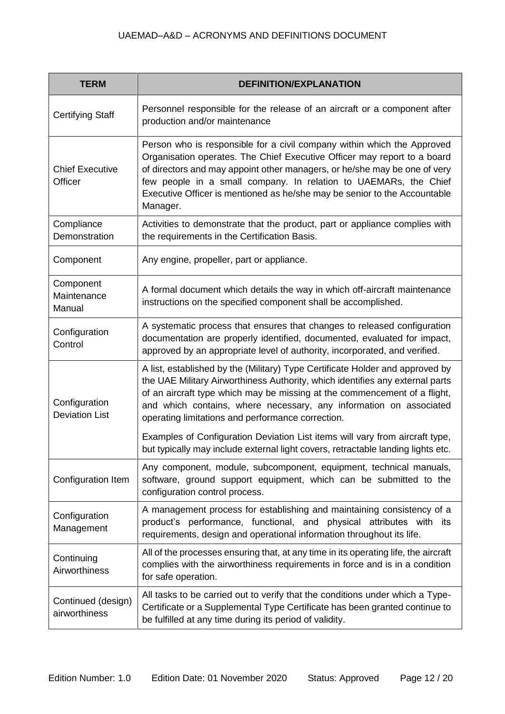| <b>TERM</b>                            | <b>DEFINITION/EXPLANATION</b>                                                                                                                                                                                                                                                                                                                                                                 |
|----------------------------------------|-----------------------------------------------------------------------------------------------------------------------------------------------------------------------------------------------------------------------------------------------------------------------------------------------------------------------------------------------------------------------------------------------|
| <b>Certifying Staff</b>                | Personnel responsible for the release of an aircraft or a component after<br>production and/or maintenance                                                                                                                                                                                                                                                                                    |
| <b>Chief Executive</b><br>Officer      | Person who is responsible for a civil company within which the Approved<br>Organisation operates. The Chief Executive Officer may report to a board<br>of directors and may appoint other managers, or he/she may be one of very<br>few people in a small company. In relation to UAEMARs, the Chief<br>Executive Officer is mentioned as he/she may be senior to the Accountable<br>Manager. |
| Compliance<br>Demonstration            | Activities to demonstrate that the product, part or appliance complies with<br>the requirements in the Certification Basis.                                                                                                                                                                                                                                                                   |
| Component                              | Any engine, propeller, part or appliance.                                                                                                                                                                                                                                                                                                                                                     |
| Component<br>Maintenance<br>Manual     | A formal document which details the way in which off-aircraft maintenance<br>instructions on the specified component shall be accomplished.                                                                                                                                                                                                                                                   |
| Configuration<br>Control               | A systematic process that ensures that changes to released configuration<br>documentation are properly identified, documented, evaluated for impact,<br>approved by an appropriate level of authority, incorporated, and verified.                                                                                                                                                            |
| Configuration<br><b>Deviation List</b> | A list, established by the (Military) Type Certificate Holder and approved by<br>the UAE Military Airworthiness Authority, which identifies any external parts<br>of an aircraft type which may be missing at the commencement of a flight,<br>and which contains, where necessary, any information on associated<br>operating limitations and performance correction.                        |
|                                        | Examples of Configuration Deviation List items will vary from aircraft type,<br>but typically may include external light covers, retractable landing lights etc.                                                                                                                                                                                                                              |
| Configuration Item                     | Any component, module, subcomponent, equipment, technical manuals,<br>software, ground support equipment, which can be submitted to the<br>configuration control process.                                                                                                                                                                                                                     |
| Configuration<br>Management            | A management process for establishing and maintaining consistency of a<br>product's performance, functional, and physical attributes with its<br>requirements, design and operational information throughout its life.                                                                                                                                                                        |
| Continuing<br>Airworthiness            | All of the processes ensuring that, at any time in its operating life, the aircraft<br>complies with the airworthiness requirements in force and is in a condition<br>for safe operation.                                                                                                                                                                                                     |
| Continued (design)<br>airworthiness    | All tasks to be carried out to verify that the conditions under which a Type-<br>Certificate or a Supplemental Type Certificate has been granted continue to<br>be fulfilled at any time during its period of validity.                                                                                                                                                                       |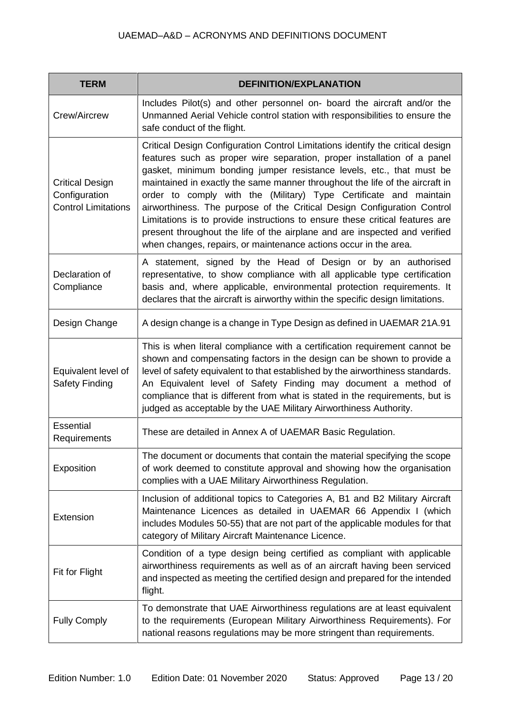| <b>TERM</b>                                                           | <b>DEFINITION/EXPLANATION</b>                                                                                                                                                                                                                                                                                                                                                                                                                                                                                                                                                                                                                                                                       |
|-----------------------------------------------------------------------|-----------------------------------------------------------------------------------------------------------------------------------------------------------------------------------------------------------------------------------------------------------------------------------------------------------------------------------------------------------------------------------------------------------------------------------------------------------------------------------------------------------------------------------------------------------------------------------------------------------------------------------------------------------------------------------------------------|
| Crew/Aircrew                                                          | Includes Pilot(s) and other personnel on- board the aircraft and/or the<br>Unmanned Aerial Vehicle control station with responsibilities to ensure the<br>safe conduct of the flight.                                                                                                                                                                                                                                                                                                                                                                                                                                                                                                               |
| <b>Critical Design</b><br>Configuration<br><b>Control Limitations</b> | Critical Design Configuration Control Limitations identify the critical design<br>features such as proper wire separation, proper installation of a panel<br>gasket, minimum bonding jumper resistance levels, etc., that must be<br>maintained in exactly the same manner throughout the life of the aircraft in<br>order to comply with the (Military) Type Certificate and maintain<br>airworthiness. The purpose of the Critical Design Configuration Control<br>Limitations is to provide instructions to ensure these critical features are<br>present throughout the life of the airplane and are inspected and verified<br>when changes, repairs, or maintenance actions occur in the area. |
| Declaration of<br>Compliance                                          | A statement, signed by the Head of Design or by an authorised<br>representative, to show compliance with all applicable type certification<br>basis and, where applicable, environmental protection requirements. It<br>declares that the aircraft is airworthy within the specific design limitations.                                                                                                                                                                                                                                                                                                                                                                                             |
| Design Change                                                         | A design change is a change in Type Design as defined in UAEMAR 21A.91                                                                                                                                                                                                                                                                                                                                                                                                                                                                                                                                                                                                                              |
| Equivalent level of<br><b>Safety Finding</b>                          | This is when literal compliance with a certification requirement cannot be<br>shown and compensating factors in the design can be shown to provide a<br>level of safety equivalent to that established by the airworthiness standards.<br>An Equivalent level of Safety Finding may document a method of<br>compliance that is different from what is stated in the requirements, but is<br>judged as acceptable by the UAE Military Airworthiness Authority.                                                                                                                                                                                                                                       |
| <b>Essential</b><br>Requirements                                      | These are detailed in Annex A of UAEMAR Basic Regulation.                                                                                                                                                                                                                                                                                                                                                                                                                                                                                                                                                                                                                                           |
| Exposition                                                            | The document or documents that contain the material specifying the scope<br>of work deemed to constitute approval and showing how the organisation<br>complies with a UAE Military Airworthiness Regulation.                                                                                                                                                                                                                                                                                                                                                                                                                                                                                        |
| Extension                                                             | Inclusion of additional topics to Categories A, B1 and B2 Military Aircraft<br>Maintenance Licences as detailed in UAEMAR 66 Appendix I (which<br>includes Modules 50-55) that are not part of the applicable modules for that<br>category of Military Aircraft Maintenance Licence.                                                                                                                                                                                                                                                                                                                                                                                                                |
| Fit for Flight                                                        | Condition of a type design being certified as compliant with applicable<br>airworthiness requirements as well as of an aircraft having been serviced<br>and inspected as meeting the certified design and prepared for the intended<br>flight.                                                                                                                                                                                                                                                                                                                                                                                                                                                      |
| <b>Fully Comply</b>                                                   | To demonstrate that UAE Airworthiness regulations are at least equivalent<br>to the requirements (European Military Airworthiness Requirements). For<br>national reasons regulations may be more stringent than requirements.                                                                                                                                                                                                                                                                                                                                                                                                                                                                       |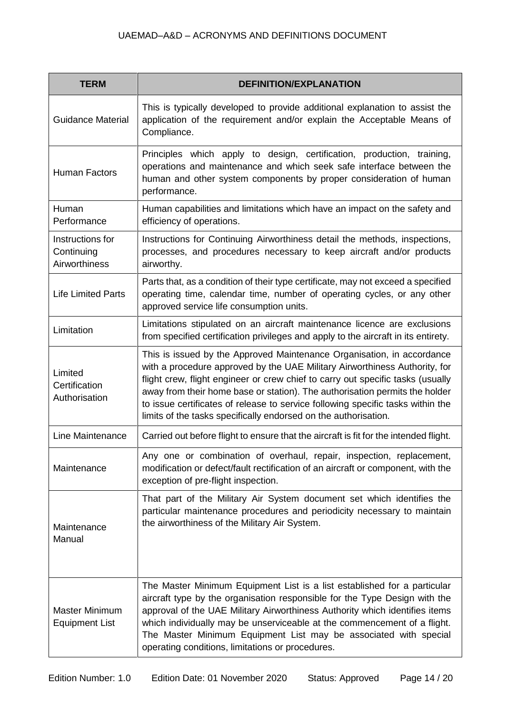| <b>TERM</b>                                     | <b>DEFINITION/EXPLANATION</b>                                                                                                                                                                                                                                                                                                                                                                                                                                                |
|-------------------------------------------------|------------------------------------------------------------------------------------------------------------------------------------------------------------------------------------------------------------------------------------------------------------------------------------------------------------------------------------------------------------------------------------------------------------------------------------------------------------------------------|
| <b>Guidance Material</b>                        | This is typically developed to provide additional explanation to assist the<br>application of the requirement and/or explain the Acceptable Means of<br>Compliance.                                                                                                                                                                                                                                                                                                          |
| <b>Human Factors</b>                            | Principles which apply to design, certification, production, training,<br>operations and maintenance and which seek safe interface between the<br>human and other system components by proper consideration of human<br>performance.                                                                                                                                                                                                                                         |
| Human<br>Performance                            | Human capabilities and limitations which have an impact on the safety and<br>efficiency of operations.                                                                                                                                                                                                                                                                                                                                                                       |
| Instructions for<br>Continuing<br>Airworthiness | Instructions for Continuing Airworthiness detail the methods, inspections,<br>processes, and procedures necessary to keep aircraft and/or products<br>airworthy.                                                                                                                                                                                                                                                                                                             |
| <b>Life Limited Parts</b>                       | Parts that, as a condition of their type certificate, may not exceed a specified<br>operating time, calendar time, number of operating cycles, or any other<br>approved service life consumption units.                                                                                                                                                                                                                                                                      |
| Limitation                                      | Limitations stipulated on an aircraft maintenance licence are exclusions<br>from specified certification privileges and apply to the aircraft in its entirety.                                                                                                                                                                                                                                                                                                               |
| Limited<br>Certification<br>Authorisation       | This is issued by the Approved Maintenance Organisation, in accordance<br>with a procedure approved by the UAE Military Airworthiness Authority, for<br>flight crew, flight engineer or crew chief to carry out specific tasks (usually<br>away from their home base or station). The authorisation permits the holder<br>to issue certificates of release to service following specific tasks within the<br>limits of the tasks specifically endorsed on the authorisation. |
| Line Maintenance                                | Carried out before flight to ensure that the aircraft is fit for the intended flight.                                                                                                                                                                                                                                                                                                                                                                                        |
| Maintenance                                     | Any one or combination of overhaul, repair, inspection, replacement,<br>modification or defect/fault rectification of an aircraft or component, with the<br>exception of pre-flight inspection.                                                                                                                                                                                                                                                                              |
| Maintenance<br>Manual                           | That part of the Military Air System document set which identifies the<br>particular maintenance procedures and periodicity necessary to maintain<br>the airworthiness of the Military Air System.                                                                                                                                                                                                                                                                           |
| Master Minimum<br><b>Equipment List</b>         | The Master Minimum Equipment List is a list established for a particular<br>aircraft type by the organisation responsible for the Type Design with the<br>approval of the UAE Military Airworthiness Authority which identifies items<br>which individually may be unserviceable at the commencement of a flight.<br>The Master Minimum Equipment List may be associated with special<br>operating conditions, limitations or procedures.                                    |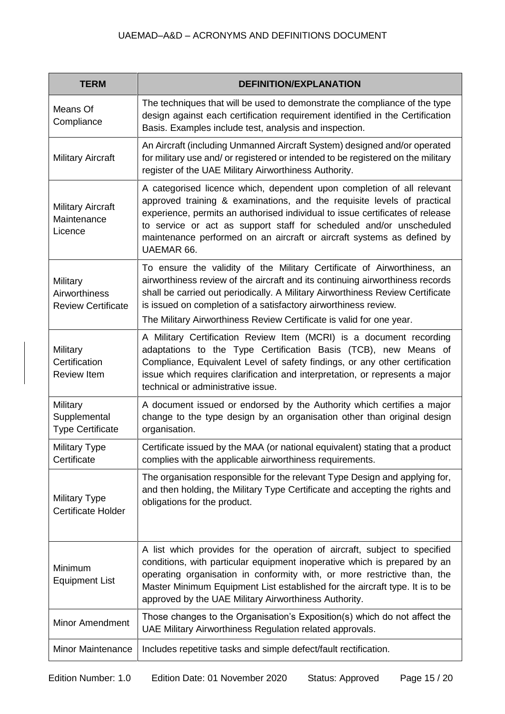| <b>TERM</b>                                            | <b>DEFINITION/EXPLANATION</b>                                                                                                                                                                                                                                                                                                                                                                     |  |  |  |
|--------------------------------------------------------|---------------------------------------------------------------------------------------------------------------------------------------------------------------------------------------------------------------------------------------------------------------------------------------------------------------------------------------------------------------------------------------------------|--|--|--|
| Means Of<br>Compliance                                 | The techniques that will be used to demonstrate the compliance of the type<br>design against each certification requirement identified in the Certification<br>Basis. Examples include test, analysis and inspection.                                                                                                                                                                             |  |  |  |
| <b>Military Aircraft</b>                               | An Aircraft (including Unmanned Aircraft System) designed and/or operated<br>for military use and/ or registered or intended to be registered on the military<br>register of the UAE Military Airworthiness Authority.                                                                                                                                                                            |  |  |  |
| <b>Military Aircraft</b><br>Maintenance<br>Licence     | A categorised licence which, dependent upon completion of all relevant<br>approved training & examinations, and the requisite levels of practical<br>experience, permits an authorised individual to issue certificates of release<br>to service or act as support staff for scheduled and/or unscheduled<br>maintenance performed on an aircraft or aircraft systems as defined by<br>UAEMAR 66. |  |  |  |
| Military<br>Airworthiness<br><b>Review Certificate</b> | To ensure the validity of the Military Certificate of Airworthiness, an<br>airworthiness review of the aircraft and its continuing airworthiness records<br>shall be carried out periodically. A Military Airworthiness Review Certificate<br>is issued on completion of a satisfactory airworthiness review.<br>The Military Airworthiness Review Certificate is valid for one year.             |  |  |  |
| Military<br>Certification<br><b>Review Item</b>        | A Military Certification Review Item (MCRI) is a document recording<br>adaptations to the Type Certification Basis (TCB), new Means of<br>Compliance, Equivalent Level of safety findings, or any other certification<br>issue which requires clarification and interpretation, or represents a major<br>technical or administrative issue.                                                       |  |  |  |
| Military<br>Supplemental<br><b>Type Certificate</b>    | A document issued or endorsed by the Authority which certifies a major<br>change to the type design by an organisation other than original design<br>organisation.                                                                                                                                                                                                                                |  |  |  |
| <b>Military Type</b><br>Certificate                    | Certificate issued by the MAA (or national equivalent) stating that a product<br>complies with the applicable airworthiness requirements.                                                                                                                                                                                                                                                         |  |  |  |
| <b>Military Type</b><br><b>Certificate Holder</b>      | The organisation responsible for the relevant Type Design and applying for,<br>and then holding, the Military Type Certificate and accepting the rights and<br>obligations for the product.                                                                                                                                                                                                       |  |  |  |
| Minimum<br><b>Equipment List</b>                       | A list which provides for the operation of aircraft, subject to specified<br>conditions, with particular equipment inoperative which is prepared by an<br>operating organisation in conformity with, or more restrictive than, the<br>Master Minimum Equipment List established for the aircraft type. It is to be<br>approved by the UAE Military Airworthiness Authority.                       |  |  |  |
| <b>Minor Amendment</b>                                 | Those changes to the Organisation's Exposition(s) which do not affect the<br>UAE Military Airworthiness Regulation related approvals.                                                                                                                                                                                                                                                             |  |  |  |
| <b>Minor Maintenance</b>                               | Includes repetitive tasks and simple defect/fault rectification.                                                                                                                                                                                                                                                                                                                                  |  |  |  |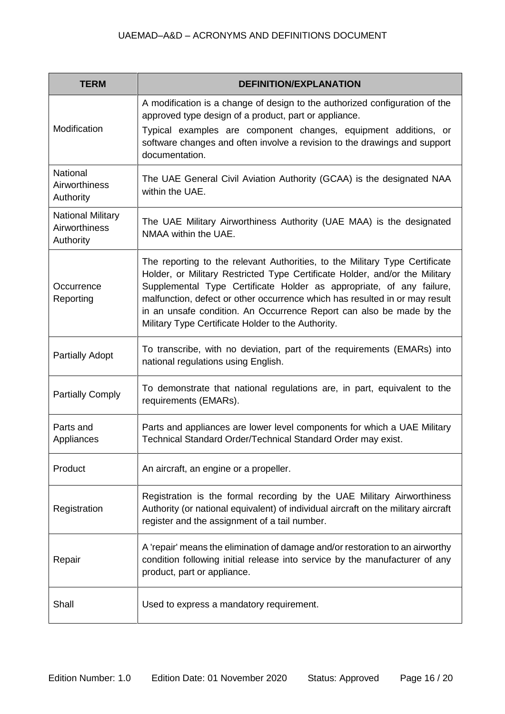| <b>TERM</b>                                            | <b>DEFINITION/EXPLANATION</b>                                                                                                                                                                                                                                                                                                                                                                                                                   |  |  |  |
|--------------------------------------------------------|-------------------------------------------------------------------------------------------------------------------------------------------------------------------------------------------------------------------------------------------------------------------------------------------------------------------------------------------------------------------------------------------------------------------------------------------------|--|--|--|
| Modification                                           | A modification is a change of design to the authorized configuration of the<br>approved type design of a product, part or appliance.<br>Typical examples are component changes, equipment additions, or<br>software changes and often involve a revision to the drawings and support<br>documentation.                                                                                                                                          |  |  |  |
| <b>National</b><br>Airworthiness<br>Authority          | The UAE General Civil Aviation Authority (GCAA) is the designated NAA<br>within the UAE.                                                                                                                                                                                                                                                                                                                                                        |  |  |  |
| <b>National Military</b><br>Airworthiness<br>Authority | The UAE Military Airworthiness Authority (UAE MAA) is the designated<br>NMAA within the UAE.                                                                                                                                                                                                                                                                                                                                                    |  |  |  |
| Occurrence<br>Reporting                                | The reporting to the relevant Authorities, to the Military Type Certificate<br>Holder, or Military Restricted Type Certificate Holder, and/or the Military<br>Supplemental Type Certificate Holder as appropriate, of any failure,<br>malfunction, defect or other occurrence which has resulted in or may result<br>in an unsafe condition. An Occurrence Report can also be made by the<br>Military Type Certificate Holder to the Authority. |  |  |  |
| <b>Partially Adopt</b>                                 | To transcribe, with no deviation, part of the requirements (EMARs) into<br>national regulations using English.                                                                                                                                                                                                                                                                                                                                  |  |  |  |
| <b>Partially Comply</b>                                | To demonstrate that national regulations are, in part, equivalent to the<br>requirements (EMARs).                                                                                                                                                                                                                                                                                                                                               |  |  |  |
| Parts and<br>Appliances                                | Parts and appliances are lower level components for which a UAE Military<br>Technical Standard Order/Technical Standard Order may exist.                                                                                                                                                                                                                                                                                                        |  |  |  |
| Product                                                | An aircraft, an engine or a propeller.                                                                                                                                                                                                                                                                                                                                                                                                          |  |  |  |
| Registration                                           | Registration is the formal recording by the UAE Military Airworthiness<br>Authority (or national equivalent) of individual aircraft on the military aircraft<br>register and the assignment of a tail number.                                                                                                                                                                                                                                   |  |  |  |
| Repair                                                 | A 'repair' means the elimination of damage and/or restoration to an airworthy<br>condition following initial release into service by the manufacturer of any<br>product, part or appliance.                                                                                                                                                                                                                                                     |  |  |  |
| Shall                                                  | Used to express a mandatory requirement.                                                                                                                                                                                                                                                                                                                                                                                                        |  |  |  |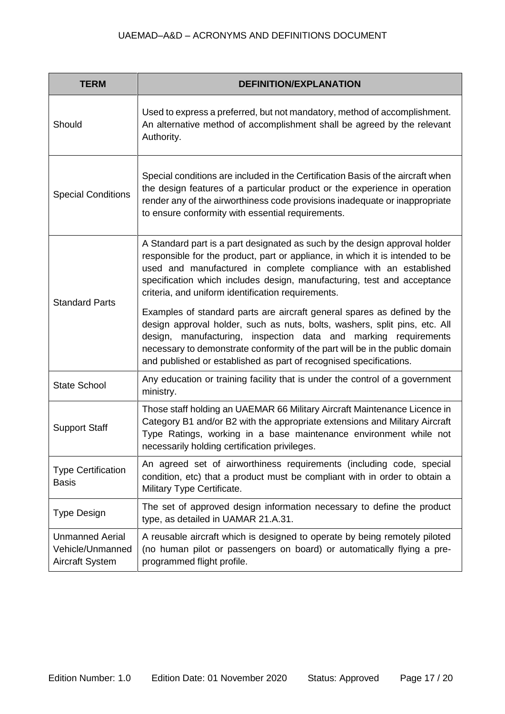| <b>TERM</b>                                                   | <b>DEFINITION/EXPLANATION</b>                                                                                                                                                                                                                                                                                                                                                   |  |  |  |
|---------------------------------------------------------------|---------------------------------------------------------------------------------------------------------------------------------------------------------------------------------------------------------------------------------------------------------------------------------------------------------------------------------------------------------------------------------|--|--|--|
| Should                                                        | Used to express a preferred, but not mandatory, method of accomplishment.<br>An alternative method of accomplishment shall be agreed by the relevant<br>Authority.                                                                                                                                                                                                              |  |  |  |
| <b>Special Conditions</b>                                     | Special conditions are included in the Certification Basis of the aircraft when<br>the design features of a particular product or the experience in operation<br>render any of the airworthiness code provisions inadequate or inappropriate<br>to ensure conformity with essential requirements.                                                                               |  |  |  |
| <b>Standard Parts</b>                                         | A Standard part is a part designated as such by the design approval holder<br>responsible for the product, part or appliance, in which it is intended to be<br>used and manufactured in complete compliance with an established<br>specification which includes design, manufacturing, test and acceptance<br>criteria, and uniform identification requirements.                |  |  |  |
|                                                               | Examples of standard parts are aircraft general spares as defined by the<br>design approval holder, such as nuts, bolts, washers, split pins, etc. All<br>design, manufacturing, inspection data and marking requirements<br>necessary to demonstrate conformity of the part will be in the public domain<br>and published or established as part of recognised specifications. |  |  |  |
| <b>State School</b>                                           | Any education or training facility that is under the control of a government<br>ministry.                                                                                                                                                                                                                                                                                       |  |  |  |
| <b>Support Staff</b>                                          | Those staff holding an UAEMAR 66 Military Aircraft Maintenance Licence in<br>Category B1 and/or B2 with the appropriate extensions and Military Aircraft<br>Type Ratings, working in a base maintenance environment while not<br>necessarily holding certification privileges.                                                                                                  |  |  |  |
| <b>Type Certification</b><br><b>Basis</b>                     | An agreed set of airworthiness requirements (including code, special<br>condition, etc) that a product must be compliant with in order to obtain a<br>Military Type Certificate.                                                                                                                                                                                                |  |  |  |
| <b>Type Design</b>                                            | The set of approved design information necessary to define the product<br>type, as detailed in UAMAR 21.A.31.                                                                                                                                                                                                                                                                   |  |  |  |
| <b>Unmanned Aerial</b><br>Vehicle/Unmanned<br>Aircraft System | A reusable aircraft which is designed to operate by being remotely piloted<br>(no human pilot or passengers on board) or automatically flying a pre-<br>programmed flight profile.                                                                                                                                                                                              |  |  |  |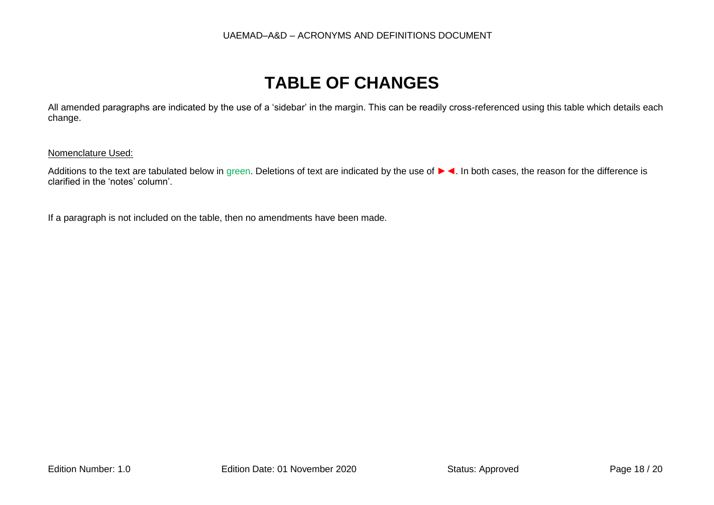### **TABLE OF CHANGES**

All amended paragraphs are indicated by the use of a 'sidebar' in the margin. This can be readily cross-referenced using this table which details each change.

#### Nomenclature Used:

Additions to the text are tabulated below in green. Deletions of text are indicated by the use of ►◄. In both cases, the reason for the difference is clarified in the 'notes' column'.

<span id="page-17-0"></span>If a paragraph is not included on the table, then no amendments have been made.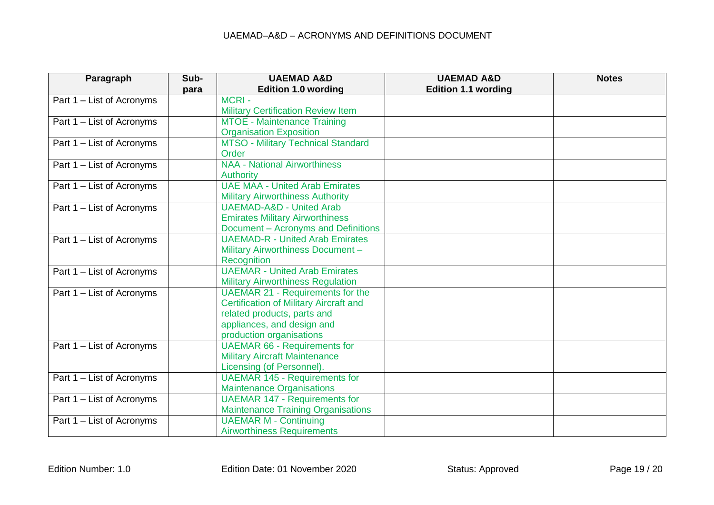| Paragraph                 | Sub- | <b>UAEMAD A&amp;D</b>                         | <b>UAEMAD A&amp;D</b>      | <b>Notes</b> |
|---------------------------|------|-----------------------------------------------|----------------------------|--------------|
|                           | para | <b>Edition 1.0 wording</b>                    | <b>Edition 1.1 wording</b> |              |
| Part 1 – List of Acronyms |      | MCRI-                                         |                            |              |
|                           |      | <b>Military Certification Review Item</b>     |                            |              |
| Part 1 – List of Acronyms |      | <b>MTOE - Maintenance Training</b>            |                            |              |
|                           |      | <b>Organisation Exposition</b>                |                            |              |
| Part 1 - List of Acronyms |      | <b>MTSO - Military Technical Standard</b>     |                            |              |
|                           |      | Order                                         |                            |              |
| Part 1 – List of Acronyms |      | <b>NAA - National Airworthiness</b>           |                            |              |
|                           |      | <b>Authority</b>                              |                            |              |
| Part 1 – List of Acronyms |      | <b>UAE MAA - United Arab Emirates</b>         |                            |              |
|                           |      | <b>Military Airworthiness Authority</b>       |                            |              |
| Part 1 – List of Acronyms |      | <b>UAEMAD-A&amp;D - United Arab</b>           |                            |              |
|                           |      | <b>Emirates Military Airworthiness</b>        |                            |              |
|                           |      | Document - Acronyms and Definitions           |                            |              |
| Part 1 – List of Acronyms |      | <b>UAEMAD-R - United Arab Emirates</b>        |                            |              |
|                           |      | Military Airworthiness Document -             |                            |              |
|                           |      | Recognition                                   |                            |              |
| Part 1 – List of Acronyms |      | <b>UAEMAR - United Arab Emirates</b>          |                            |              |
|                           |      | <b>Military Airworthiness Regulation</b>      |                            |              |
| Part 1 – List of Acronyms |      | <b>UAEMAR 21 - Requirements for the</b>       |                            |              |
|                           |      | <b>Certification of Military Aircraft and</b> |                            |              |
|                           |      | related products, parts and                   |                            |              |
|                           |      | appliances, and design and                    |                            |              |
|                           |      | production organisations                      |                            |              |
| Part 1 – List of Acronyms |      | <b>UAEMAR 66 - Requirements for</b>           |                            |              |
|                           |      | <b>Military Aircraft Maintenance</b>          |                            |              |
|                           |      | Licensing (of Personnel).                     |                            |              |
| Part 1 – List of Acronyms |      | <b>UAEMAR 145 - Requirements for</b>          |                            |              |
|                           |      | <b>Maintenance Organisations</b>              |                            |              |
| Part 1 – List of Acronyms |      | <b>UAEMAR 147 - Requirements for</b>          |                            |              |
|                           |      | <b>Maintenance Training Organisations</b>     |                            |              |
| Part 1 – List of Acronyms |      | <b>UAEMAR M - Continuing</b>                  |                            |              |
|                           |      | <b>Airworthiness Requirements</b>             |                            |              |